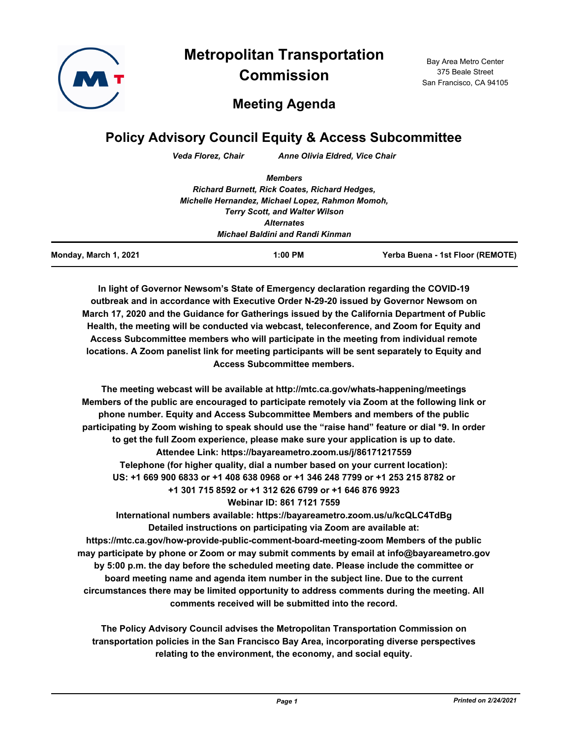

**Metropolitan Transportation Commission**

Bay Area Metro Center 375 Beale Street San Francisco, CA 94105

# **Meeting Agenda**

## **Policy Advisory Council Equity & Access Subcommittee**

*Veda Florez, Chair Anne Olivia Eldred, Vice Chair*

| Monday, March 1, 2021 | $1:00$ PM                                            | Yerba Buena - 1st Floor (REMOTE) |
|-----------------------|------------------------------------------------------|----------------------------------|
|                       | Michael Baldini and Randi Kinman                     |                                  |
|                       | <b>Alternates</b>                                    |                                  |
|                       | <b>Terry Scott, and Walter Wilson</b>                |                                  |
|                       | Michelle Hernandez, Michael Lopez, Rahmon Momoh,     |                                  |
|                       | <b>Richard Burnett, Rick Coates, Richard Hedges,</b> |                                  |
|                       |                                                      |                                  |
|                       | <b>Members</b>                                       |                                  |

**In light of Governor Newsom's State of Emergency declaration regarding the COVID-19 outbreak and in accordance with Executive Order N-29-20 issued by Governor Newsom on March 17, 2020 and the Guidance for Gatherings issued by the California Department of Public Health, the meeting will be conducted via webcast, teleconference, and Zoom for Equity and Access Subcommittee members who will participate in the meeting from individual remote locations. A Zoom panelist link for meeting participants will be sent separately to Equity and Access Subcommittee members.**

**The meeting webcast will be available at http://mtc.ca.gov/whats-happening/meetings Members of the public are encouraged to participate remotely via Zoom at the following link or phone number. Equity and Access Subcommittee Members and members of the public participating by Zoom wishing to speak should use the "raise hand" feature or dial \*9. In order to get the full Zoom experience, please make sure your application is up to date. Attendee Link: https://bayareametro.zoom.us/j/86171217559 Telephone (for higher quality, dial a number based on your current location): US: +1 669 900 6833 or +1 408 638 0968 or +1 346 248 7799 or +1 253 215 8782 or +1 301 715 8592 or +1 312 626 6799 or +1 646 876 9923 Webinar ID: 861 7121 7559**

**International numbers available: https://bayareametro.zoom.us/u/kcQLC4TdBg Detailed instructions on participating via Zoom are available at: https://mtc.ca.gov/how-provide-public-comment-board-meeting-zoom Members of the public may participate by phone or Zoom or may submit comments by email at info@bayareametro.gov by 5:00 p.m. the day before the scheduled meeting date. Please include the committee or board meeting name and agenda item number in the subject line. Due to the current circumstances there may be limited opportunity to address comments during the meeting. All comments received will be submitted into the record.**

**The Policy Advisory Council advises the Metropolitan Transportation Commission on transportation policies in the San Francisco Bay Area, incorporating diverse perspectives relating to the environment, the economy, and social equity.**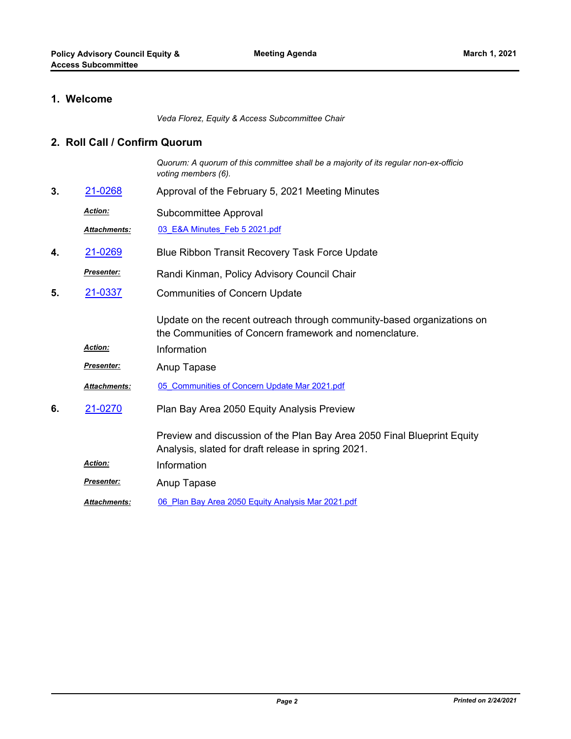### **1. Welcome**

*Veda Florez, Equity & Access Subcommittee Chair*

#### **2. Roll Call / Confirm Quorum**

*Quorum: A quorum of this committee shall be a majority of its regular non-ex-officio voting members (6).*

- **3.** [21-0268](http://mtc.legistar.com/gateway.aspx?m=l&id=/matter.aspx?key=21861) Approval of the February 5, 2021 Meeting Minutes
	- Subcommittee Approval *Action:*

*Attachments:* [03\\_E&A Minutes\\_Feb 5 2021.pdf](http://mtc.legistar.com/gateway.aspx?M=F&ID=9d0d2749-d303-491b-a63f-96ce9ca4a948.pdf)

- **4.** [21-0269](http://mtc.legistar.com/gateway.aspx?m=l&id=/matter.aspx?key=21862) Blue Ribbon Transit Recovery Task Force Update
- Randi Kinman, Policy Advisory Council Chair *Presenter:*
- Communities of Concern Update **5.** [21-0337](http://mtc.legistar.com/gateway.aspx?m=l&id=/matter.aspx?key=21930)

Update on the recent outreach through community-based organizations on the Communities of Concern framework and nomenclature.

- *Action:* Information
- *Presenter:* Anup Tapase
- *Attachments:* [05\\_Communities of Concern Update Mar 2021.pdf](http://mtc.legistar.com/gateway.aspx?M=F&ID=a085b1e1-da94-4782-b0eb-6d190d19be43.pdf)
- Plan Bay Area 2050 Equity Analysis Preview **6.** [21-0270](http://mtc.legistar.com/gateway.aspx?m=l&id=/matter.aspx?key=21863)

Preview and discussion of the Plan Bay Area 2050 Final Blueprint Equity Analysis, slated for draft release in spring 2021.

- *Action:* Information
- **Presenter:** Anup Tapase
- *Attachments:* [06\\_Plan Bay Area 2050 Equity Analysis Mar 2021.pdf](http://mtc.legistar.com/gateway.aspx?M=F&ID=8ac96768-38c1-4fd6-b3a9-359500d74791.pdf)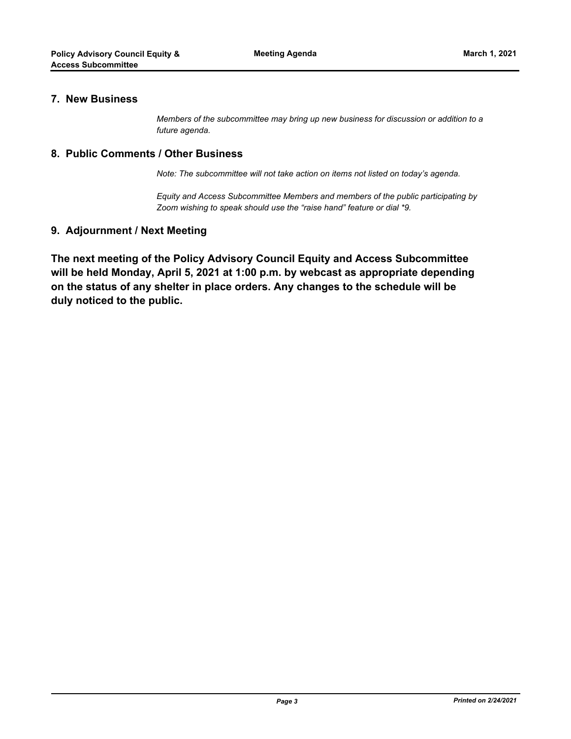#### **7. New Business**

*Members of the subcommittee may bring up new business for discussion or addition to a future agenda.*

#### **8. Public Comments / Other Business**

*Note: The subcommittee will not take action on items not listed on today's agenda.*

*Equity and Access Subcommittee Members and members of the public participating by Zoom wishing to speak should use the "raise hand" feature or dial \*9.*

### **9. Adjournment / Next Meeting**

**The next meeting of the Policy Advisory Council Equity and Access Subcommittee will be held Monday, April 5, 2021 at 1:00 p.m. by webcast as appropriate depending on the status of any shelter in place orders. Any changes to the schedule will be duly noticed to the public.**